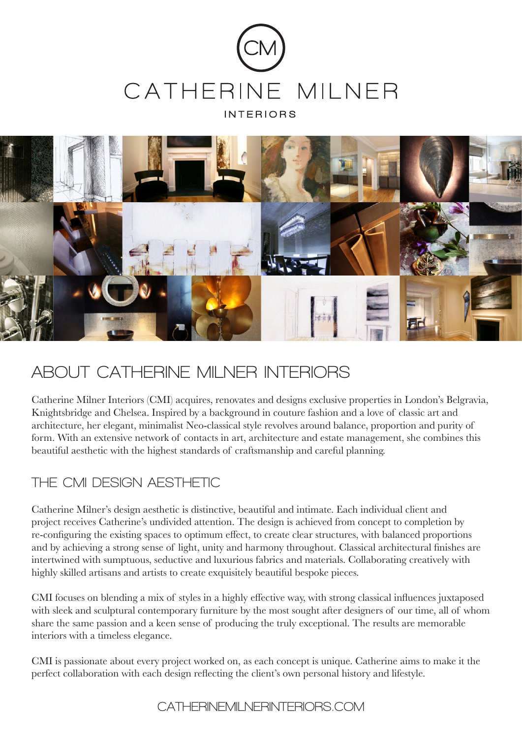



## **ABOUT CATHERINE MILNER INTERIORS**

Catherine Milner Interiors (CMI) acquires, renovates and designs exclusive properties in London's Belgravia, Knightsbridge and Chelsea. Inspired by a background in couture fashion and a love of classic art and architecture, her elegant, minimalist Neo-classical style revolves around balance, proportion and purity of form. With an extensive network of contacts in art, architecture and estate management, she combines this beautiful aesthetic with the highest standards of craftsmanship and careful planning.

## **THE CMI DESIGN AESTHETIC**

Catherine Milner's design aesthetic is distinctive, beautiful and intimate. Each individual client and project receives Catherine's undivided attention. The design is achieved from concept to completion by re-configuring the existing spaces to optimum effect, to create clear structures, with balanced proportions and by achieving a strong sense of light, unity and harmony throughout. Classical architectural finishes are intertwined with sumptuous, seductive and luxurious fabrics and materials. Collaborating creatively with highly skilled artisans and artists to create exquisitely beautiful bespoke pieces.

CMI focuses on blending a mix of styles in a highly effective way, with strong classical influences juxtaposed with sleek and sculptural contemporary furniture by the most sought after designers of our time, all of whom share the same passion and a keen sense of producing the truly exceptional. The results are memorable interiors with a timeless elegance.

CMI is passionate about every project worked on, as each concept is unique. Catherine aims to make it the perfect collaboration with each design reflecting the client's own personal history and lifestyle.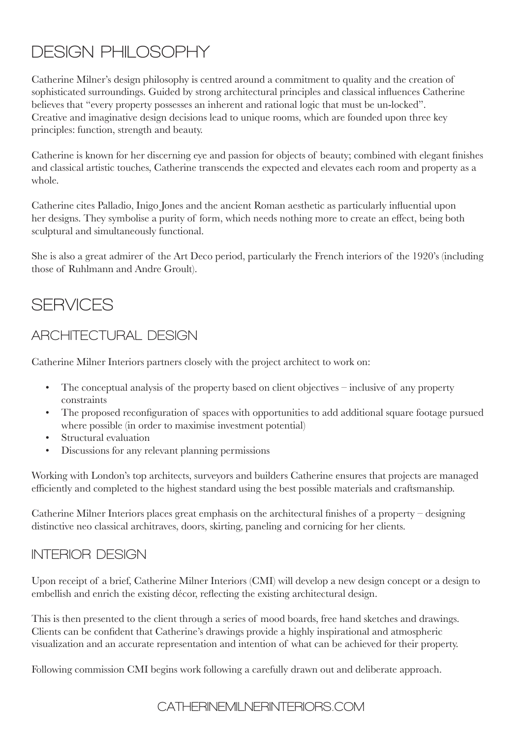# **DESIGN PHILOSOPHY**

Catherine Milner's design philosophy is centred around a commitment to quality and the creation of sophisticated surroundings. Guided by strong architectural principles and classical influences Catherine believes that "every property possesses an inherent and rational logic that must be un-locked". Creative and imaginative design decisions lead to unique rooms, which are founded upon three key principles: function, strength and beauty.

Catherine is known for her discerning eye and passion for objects of beauty; combined with elegant finishes and classical artistic touches, Catherine transcends the expected and elevates each room and property as a whole.

Catherine cites Palladio, Inigo Jones and the ancient Roman aesthetic as particularly influential upon her designs. They symbolise a purity of form, which needs nothing more to create an effect, being both sculptural and simultaneously functional.

She is also a great admirer of the Art Deco period, particularly the French interiors of the 1920's (including those of Ruhlmann and Andre Groult).

## **SERVICES**

## **ARCHITECTURAL DESIGN**

Catherine Milner Interiors partners closely with the project architect to work on:

- The conceptual analysis of the property based on client objectives inclusive of any property constraints
- The proposed reconfiguration of spaces with opportunities to add additional square footage pursued where possible (in order to maximise investment potential)
- Structural evaluation
- Discussions for any relevant planning permissions

Working with London's top architects, surveyors and builders Catherine ensures that projects are managed efficiently and completed to the highest standard using the best possible materials and craftsmanship.

Catherine Milner Interiors places great emphasis on the architectural finishes of a property – designing distinctive neo classical architraves, doors, skirting, paneling and cornicing for her clients.

### **INTERIOR DESIGN**

Upon receipt of a brief, Catherine Milner Interiors (CMI) will develop a new design concept or a design to embellish and enrich the existing décor, reflecting the existing architectural design.

This is then presented to the client through a series of mood boards, free hand sketches and drawings. Clients can be confident that Catherine's drawings provide a highly inspirational and atmospheric visualization and an accurate representation and intention of what can be achieved for their property.

Following commission CMI begins work following a carefully drawn out and deliberate approach.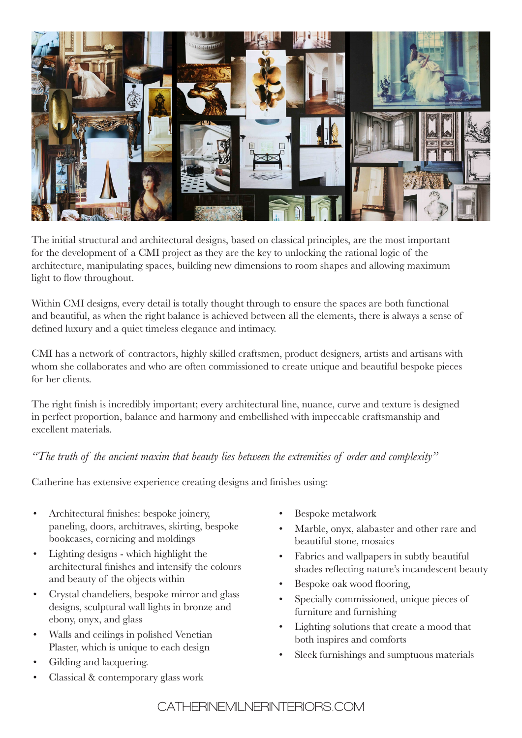

The initial structural and architectural designs, based on classical principles, are the most important for the development of a CMI project as they are the key to unlocking the rational logic of the architecture, manipulating spaces, building new dimensions to room shapes and allowing maximum light to flow throughout.

Within CMI designs, every detail is totally thought through to ensure the spaces are both functional and beautiful, as when the right balance is achieved between all the elements, there is always a sense of defined luxury and a quiet timeless elegance and intimacy.

CMI has a network of contractors, highly skilled craftsmen, product designers, artists and artisans with whom she collaborates and who are often commissioned to create unique and beautiful bespoke pieces for her clients.

The right finish is incredibly important; every architectural line, nuance, curve and texture is designed in perfect proportion, balance and harmony and embellished with impeccable craftsmanship and excellent materials.

#### *"The truth of the ancient maxim that beauty lies between the extremities of order and complexity"*

Catherine has extensive experience creating designs and finishes using:

- Architectural finishes: bespoke joinery, paneling, doors, architraves, skirting, bespoke bookcases, cornicing and moldings
- Lighting designs which highlight the architectural finishes and intensify the colours and beauty of the objects within
- Crystal chandeliers, bespoke mirror and glass designs, sculptural wall lights in bronze and ebony, onyx, and glass
- Walls and ceilings in polished Venetian Plaster, which is unique to each design
- Gilding and lacquering.
- Classical & contemporary glass work
- Bespoke metalwork
- Marble, onyx, alabaster and other rare and beautiful stone, mosaics
- Fabrics and wallpapers in subtly beautiful shades reflecting nature's incandescent beauty
- Bespoke oak wood flooring,
- Specially commissioned, unique pieces of furniture and furnishing
- Lighting solutions that create a mood that both inspires and comforts
- Sleek furnishings and sumptuous materials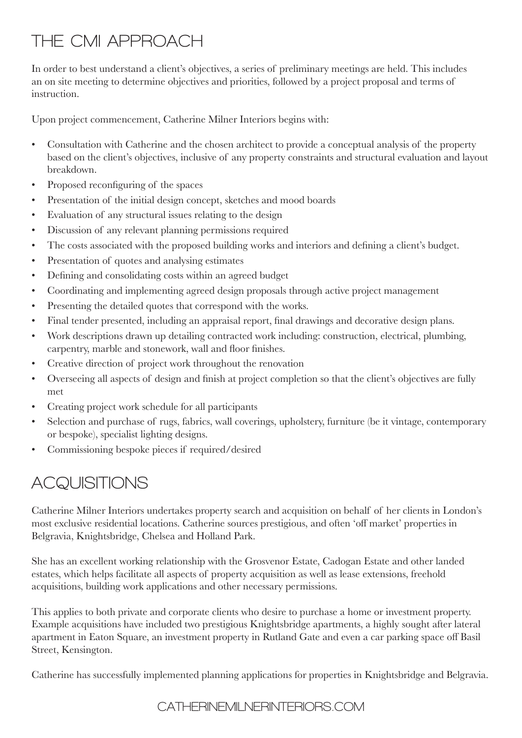# **THE CMI APPROACH**

In order to best understand a client's objectives, a series of preliminary meetings are held. This includes an on site meeting to determine objectives and priorities, followed by a project proposal and terms of instruction.

Upon project commencement, Catherine Milner Interiors begins with:

- Consultation with Catherine and the chosen architect to provide a conceptual analysis of the property based on the client's objectives, inclusive of any property constraints and structural evaluation and layout breakdown.
- Proposed reconfiguring of the spaces
- Presentation of the initial design concept, sketches and mood boards
- Evaluation of any structural issues relating to the design
- Discussion of any relevant planning permissions required
- The costs associated with the proposed building works and interiors and defining a client's budget.
- Presentation of quotes and analysing estimates
- Defining and consolidating costs within an agreed budget
- Coordinating and implementing agreed design proposals through active project management
- Presenting the detailed quotes that correspond with the works.
- Final tender presented, including an appraisal report, final drawings and decorative design plans.
- Work descriptions drawn up detailing contracted work including: construction, electrical, plumbing, carpentry, marble and stonework, wall and floor finishes.
- Creative direction of project work throughout the renovation
- Overseeing all aspects of design and finish at project completion so that the client's objectives are fully met
- Creating project work schedule for all participants
- Selection and purchase of rugs, fabrics, wall coverings, upholstery, furniture (be it vintage, contemporary or bespoke), specialist lighting designs.
- Commissioning bespoke pieces if required/desired

## **ACQUISITIONS**

Catherine Milner Interiors undertakes property search and acquisition on behalf of her clients in London's most exclusive residential locations. Catherine sources prestigious, and often 'off market' properties in Belgravia, Knightsbridge, Chelsea and Holland Park.

She has an excellent working relationship with the Grosvenor Estate, Cadogan Estate and other landed estates, which helps facilitate all aspects of property acquisition as well as lease extensions, freehold acquisitions, building work applications and other necessary permissions.

This applies to both private and corporate clients who desire to purchase a home or investment property. Example acquisitions have included two prestigious Knightsbridge apartments, a highly sought after lateral apartment in Eaton Square, an investment property in Rutland Gate and even a car parking space off Basil Street, Kensington.

Catherine has successfully implemented planning applications for properties in Knightsbridge and Belgravia.